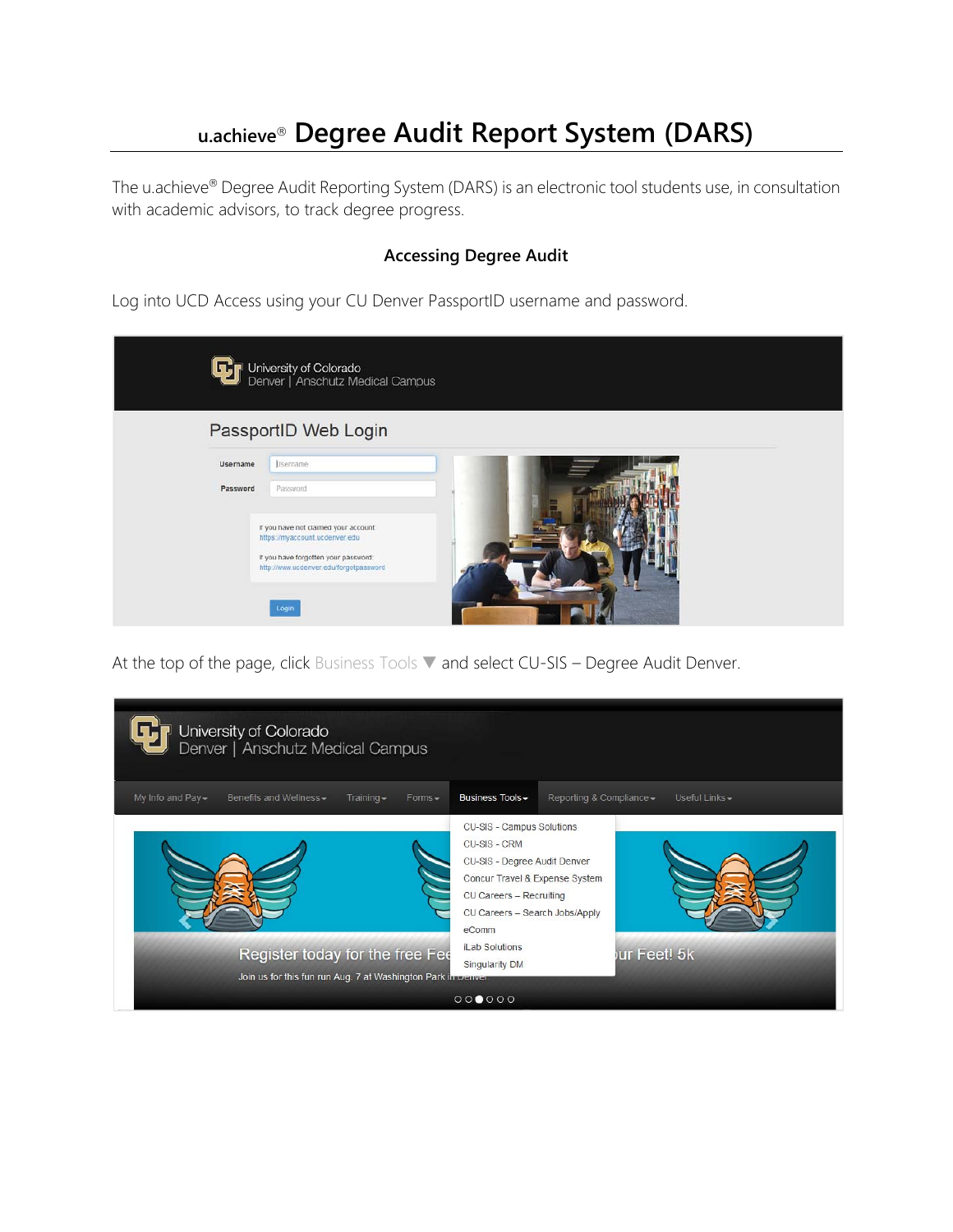# **u.achieve Degree Audit Report System (DARS)**

The u.achieve® Degree Audit Reporting System (DARS) is an electronic tool students use, in consultation with academic advisors, to track degree progress.

## **Accessing Degree Audit**

Log into UCD Access using your CU Denver PassportID username and password.

| ترتاك           | University of Colorado<br>Denver   Anschutz Medical Campus                     |  |
|-----------------|--------------------------------------------------------------------------------|--|
|                 | PassportID Web Login                                                           |  |
| <b>Username</b> | Lisername                                                                      |  |
| Password        | Password                                                                       |  |
|                 | If you have not claimed your account:<br>https://myaccount.ucdenver.edu        |  |
|                 | If you have forgotten your password:<br>http://www.ucdenver.edu/forgotpassword |  |
|                 |                                                                                |  |
|                 | Login                                                                          |  |

At the top of the page, click Business Tools ▼ and select CU-SIS – Degree Audit Denver.

| University of Colorado<br>Denver   Anschutz Medical Campus                                       |                                                                                                                                                                                                                                             |
|--------------------------------------------------------------------------------------------------|---------------------------------------------------------------------------------------------------------------------------------------------------------------------------------------------------------------------------------------------|
| My Info and Pay -<br>Benefits and Wellness -<br>$Training -$<br>$Forms -$                        | Business Tools -<br>Reporting & Compliance -<br>Useful Links -                                                                                                                                                                              |
| Register today for the free Fee<br>Join us for this fun run Aug. 7 at Washington Park in Denver. | CU-SIS - Campus Solutions<br>CU-SIS - CRM<br>CU-SIS - Degree Audit Denver<br>Concur Travel & Expense System<br>CU Careers - Recruiting<br>CU Careers - Search Jobs/Apply<br>eComm<br><b>iLab Solutions</b><br>ur Feet! 5k<br>Singularity DM |
|                                                                                                  | 000000                                                                                                                                                                                                                                      |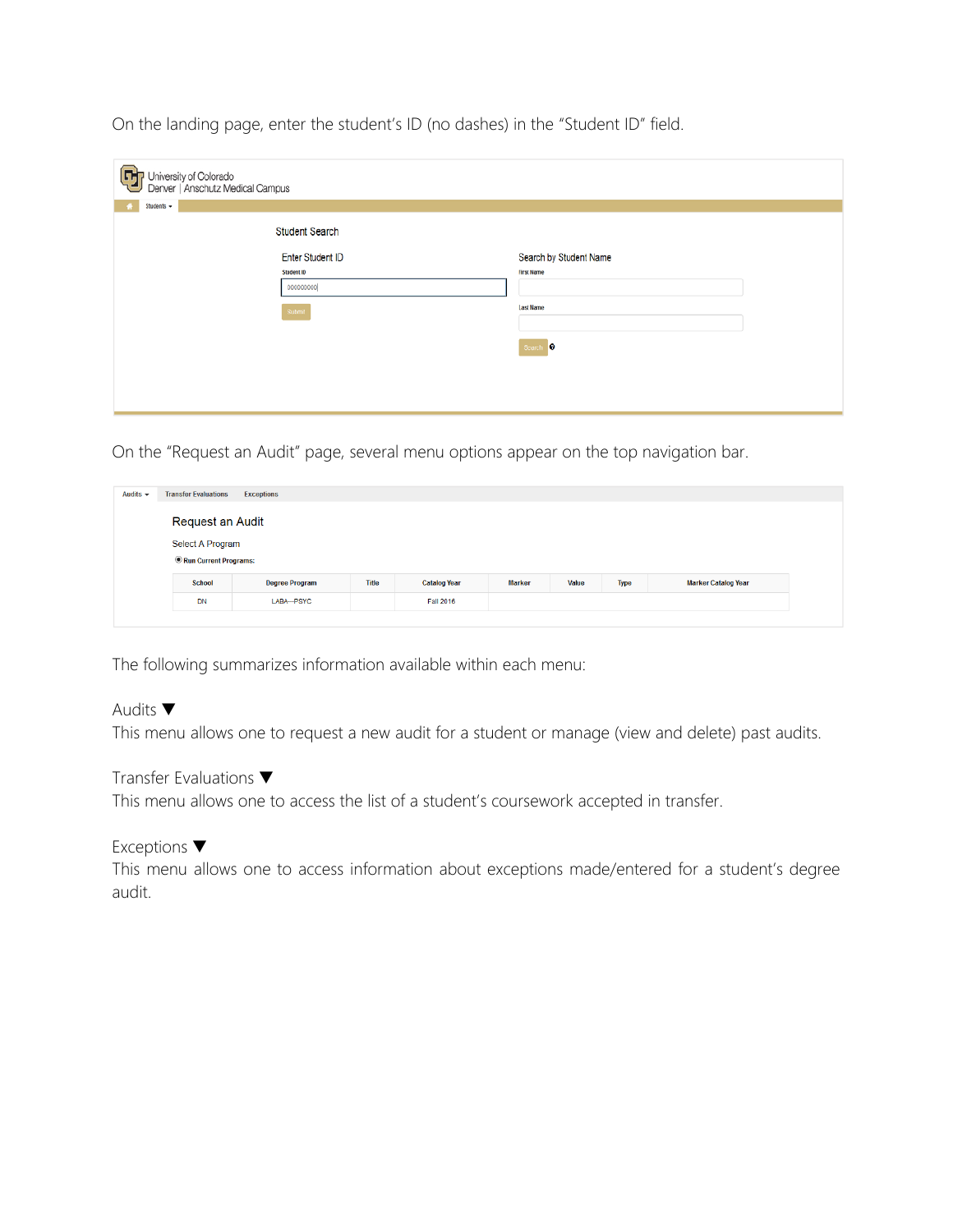| G<br>I University of Colorado<br>Denver   Anschutz Medical Campus<br>Students + |                         |                        |  |
|---------------------------------------------------------------------------------|-------------------------|------------------------|--|
|                                                                                 | <b>Student Search</b>   |                        |  |
|                                                                                 | <b>Enter Student ID</b> | Search by Student Name |  |
|                                                                                 | Student ID              | <b>First Name</b>      |  |
|                                                                                 | 000000000               |                        |  |
|                                                                                 | Submit                  | <b>Last Name</b>       |  |
|                                                                                 |                         | Search <sup>0</sup>    |  |
|                                                                                 |                         |                        |  |
|                                                                                 |                         |                        |  |
|                                                                                 |                         |                        |  |

On the landing page, enter the student's ID (no dashes) in the "Student ID" field.

On the "Request an Audit" page, several menu options appear on the top navigation bar.

| Audits $\sim$ | <b>Transfer Evaluations</b> | <b>Exceptions</b>     |              |                     |               |       |             |                            |
|---------------|-----------------------------|-----------------------|--------------|---------------------|---------------|-------|-------------|----------------------------|
|               | Request an Audit            |                       |              |                     |               |       |             |                            |
|               | Select A Program            |                       |              |                     |               |       |             |                            |
|               | Run Current Programs:       |                       |              |                     |               |       |             |                            |
|               | <b>School</b>               | <b>Degree Program</b> | <b>Title</b> | <b>Catalog Year</b> | <b>Marker</b> | Value | <b>Type</b> | <b>Marker Catalog Year</b> |
|               | <b>DN</b>                   | LABA--- PSYC          |              | <b>Fall 2016</b>    |               |       |             |                            |
|               |                             |                       |              |                     |               |       |             |                            |

The following summarizes information available within each menu:

Audits ▼

This menu allows one to request a new audit for a student or manage (view and delete) past audits.

Transfer Evaluations ▼

This menu allows one to access the list of a student's coursework accepted in transfer.

Exceptions ▼

This menu allows one to access information about exceptions made/entered for a student's degree audit.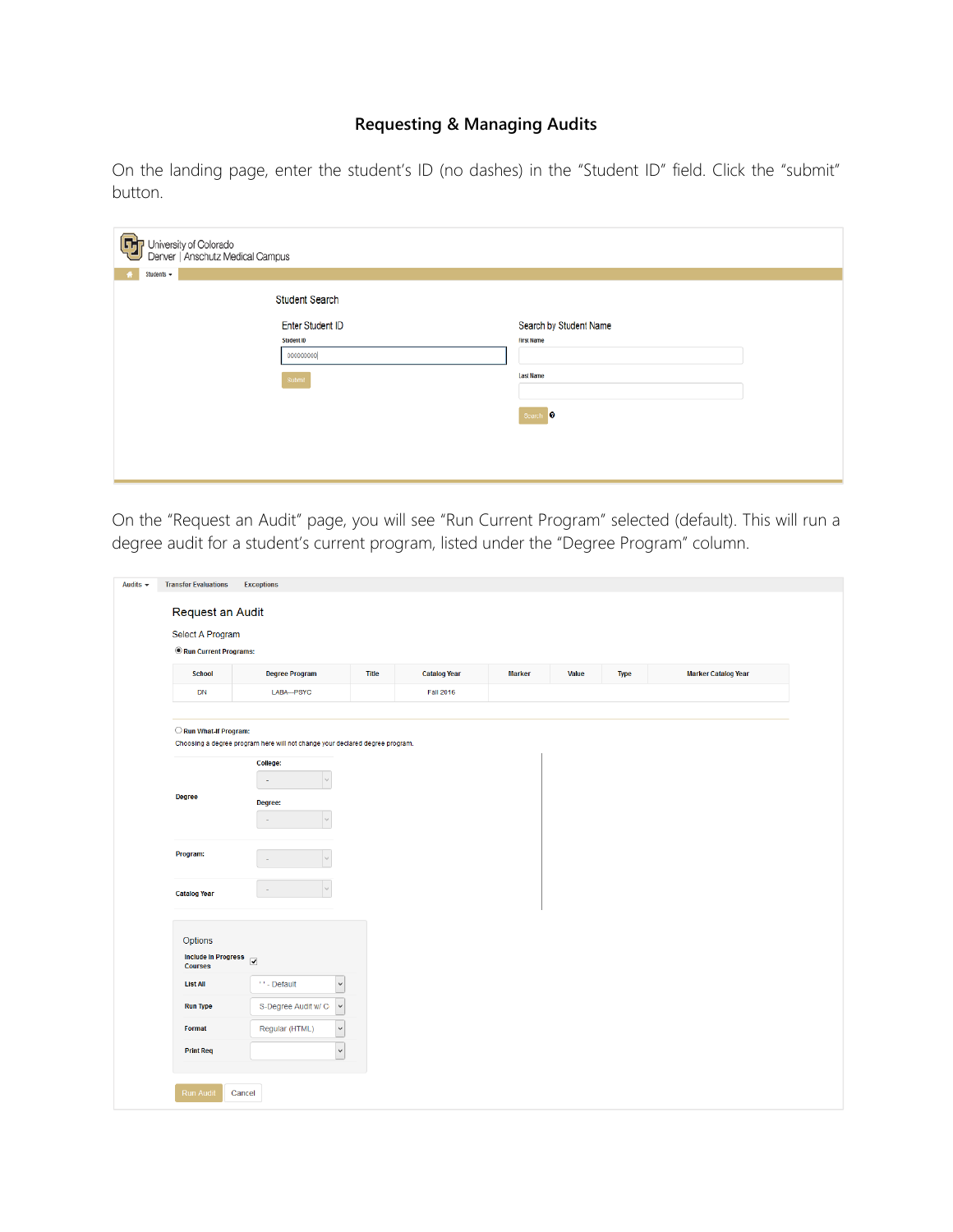# **Requesting & Managing Audits**

On the landing page, enter the student's ID (no dashes) in the "Student ID" field. Click the "submit" button.

| $\left[ \mathbf{r}\right]$<br>University of Colorado<br>Denver   Anschutz Medical Campus |                        |
|------------------------------------------------------------------------------------------|------------------------|
| Students +<br>437                                                                        |                        |
| <b>Student Search</b>                                                                    |                        |
| <b>Enter Student ID</b>                                                                  | Search by Student Name |
| Student ID                                                                               | <b>First Name</b>      |
| 000000000                                                                                |                        |
| Submit                                                                                   | <b>Last Name</b>       |
|                                                                                          | Search <sup>0</sup>    |
|                                                                                          |                        |
|                                                                                          |                        |
|                                                                                          |                        |

On the "Request an Audit" page, you will see "Run Current Program" selected (default). This will run a degree audit for a student's current program, listed under the "Degree Program" column.

| Request an Audit           | <b>Exceptions</b>                                                            |       |                     |               |       |             |                            |
|----------------------------|------------------------------------------------------------------------------|-------|---------------------|---------------|-------|-------------|----------------------------|
|                            |                                                                              |       |                     |               |       |             |                            |
| Select A Program           |                                                                              |       |                     |               |       |             |                            |
| Run Current Programs:      |                                                                              |       |                     |               |       |             |                            |
| <b>School</b>              | <b>Degree Program</b>                                                        | Title | <b>Catalog Year</b> | <b>Marker</b> | Value | <b>Type</b> | <b>Marker Catalog Year</b> |
| DN                         | LABA--- PSYC                                                                 |       | <b>Fall 2016</b>    |               |       |             |                            |
|                            |                                                                              |       |                     |               |       |             |                            |
| Run What-If Program:       |                                                                              |       |                     |               |       |             |                            |
|                            | Choosing a degree program here will not change your declared degree program. |       |                     |               |       |             |                            |
|                            | College:                                                                     |       |                     |               |       |             |                            |
|                            | k.                                                                           |       |                     |               |       |             |                            |
| <b>Degree</b>              | Degree:                                                                      |       |                     |               |       |             |                            |
|                            | $\vee$<br>$\sim$                                                             |       |                     |               |       |             |                            |
|                            |                                                                              |       |                     |               |       |             |                            |
| Program:                   |                                                                              |       |                     |               |       |             |                            |
|                            |                                                                              |       |                     |               |       |             |                            |
| <b>Catalog Year</b>        |                                                                              |       |                     |               |       |             |                            |
|                            |                                                                              |       |                     |               |       |             |                            |
|                            |                                                                              |       |                     |               |       |             |                            |
| Options                    |                                                                              |       |                     |               |       |             |                            |
| <b>Include In Progress</b> | $\overline{\mathbf{v}}$                                                      |       |                     |               |       |             |                            |
| <b>Courses</b>             |                                                                              |       |                     |               |       |             |                            |
| <b>List All</b>            | $\checkmark$<br>**- Default                                                  |       |                     |               |       |             |                            |
| <b>Run Type</b>            | $_{\rm v}$<br>S-Degree Audit w/ C                                            |       |                     |               |       |             |                            |
| Format                     | $_{\small \vee}$<br>Regular (HTML)                                           |       |                     |               |       |             |                            |
| <b>Print Req</b>           | $\overline{\phantom{0}}$                                                     |       |                     |               |       |             |                            |
|                            |                                                                              |       |                     |               |       |             |                            |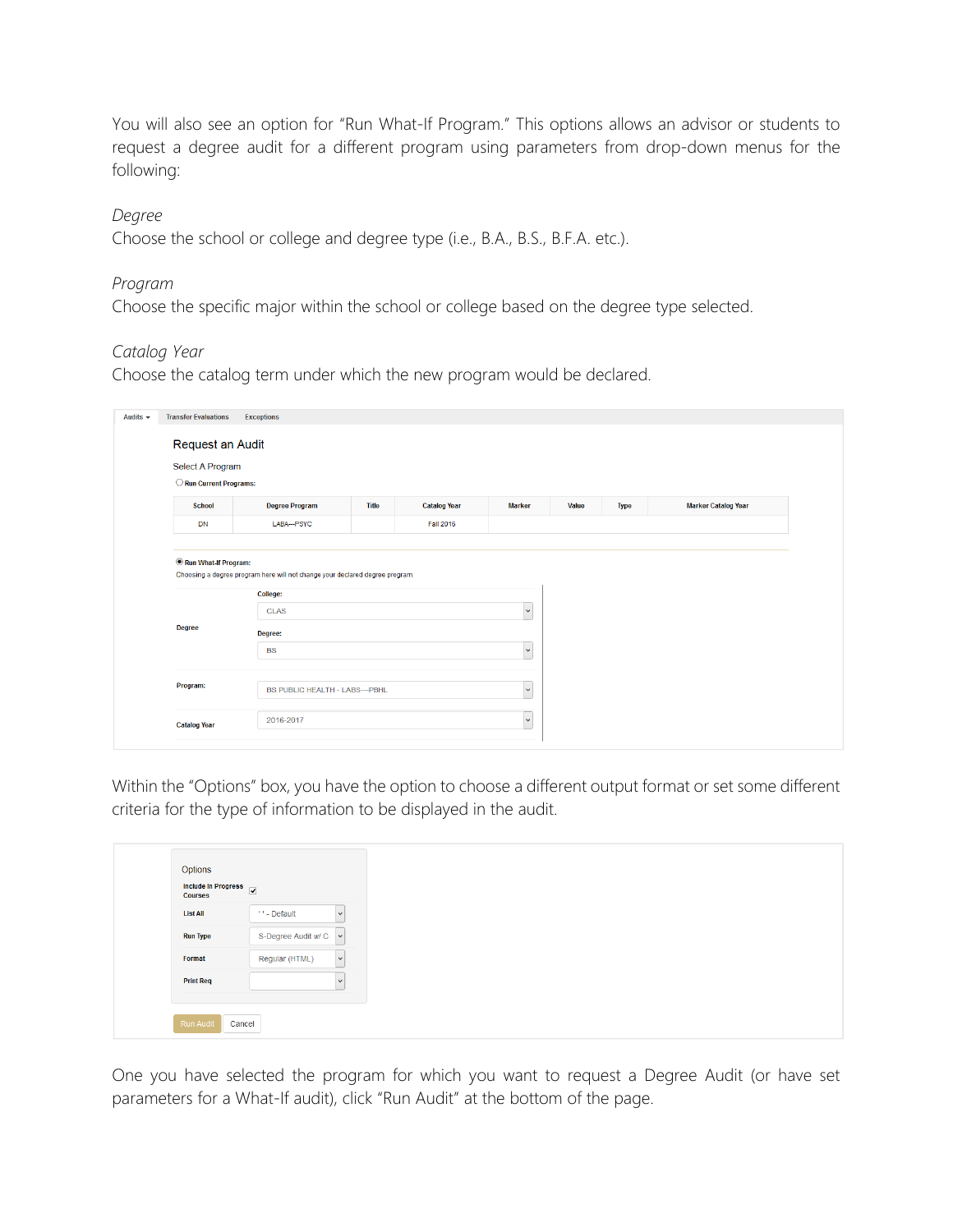You will also see an option for "Run What-If Program." This options allows an advisor or students to request a degree audit for a different program using parameters from drop-down menus for the following:

#### *Degree*

Choose the school or college and degree type (i.e., B.A., B.S., B.F.A. etc.).

#### *Program*

Choose the specific major within the school or college based on the degree type selected.

#### *Catalog Year*

Choose the catalog term under which the new program would be declared.

|                       | Request an Audit                                                                                                   |              |                     |                                         |       |             |                            |
|-----------------------|--------------------------------------------------------------------------------------------------------------------|--------------|---------------------|-----------------------------------------|-------|-------------|----------------------------|
| Select A Program      |                                                                                                                    |              |                     |                                         |       |             |                            |
| Run Current Programs: |                                                                                                                    |              |                     |                                         |       |             |                            |
| <b>School</b>         | <b>Degree Program</b>                                                                                              | <b>Title</b> | <b>Catalog Year</b> | <b>Marker</b>                           | Value | <b>Type</b> | <b>Marker Catalog Year</b> |
| <b>DN</b>             | LABA--- PSYC                                                                                                       |              | <b>Fall 2016</b>    |                                         |       |             |                            |
| Run What-If Program:  |                                                                                                                    |              |                     |                                         |       |             |                            |
| <b>Degree</b>         | Choosing a degree program here will not change your declared degree program.<br>College:<br><b>CLAS</b><br>Degree: |              |                     | $\ddot{\phantom{0}}$                    |       |             |                            |
| Program:              | <b>BS</b><br>BS PUBLIC HEALTH - LABS---PBHL                                                                        |              |                     | $\overline{\mathbf{v}}$<br>$\checkmark$ |       |             |                            |

Within the "Options" box, you have the option to choose a different output format or set some different criteria for the type of information to be displayed in the audit.

| Include In Progress<br><b>Courses</b> |                        |              |
|---------------------------------------|------------------------|--------------|
| <b>List All</b>                       | ** - Default           | $\checkmark$ |
| <b>Run Type</b>                       | S-Degree Audit w/ C  v |              |
| Format                                | Regular (HTML)         | $\vee$       |
| <b>Print Req</b>                      |                        | $\checkmark$ |

One you have selected the program for which you want to request a Degree Audit (or have set parameters for a What-If audit), click "Run Audit" at the bottom of the page.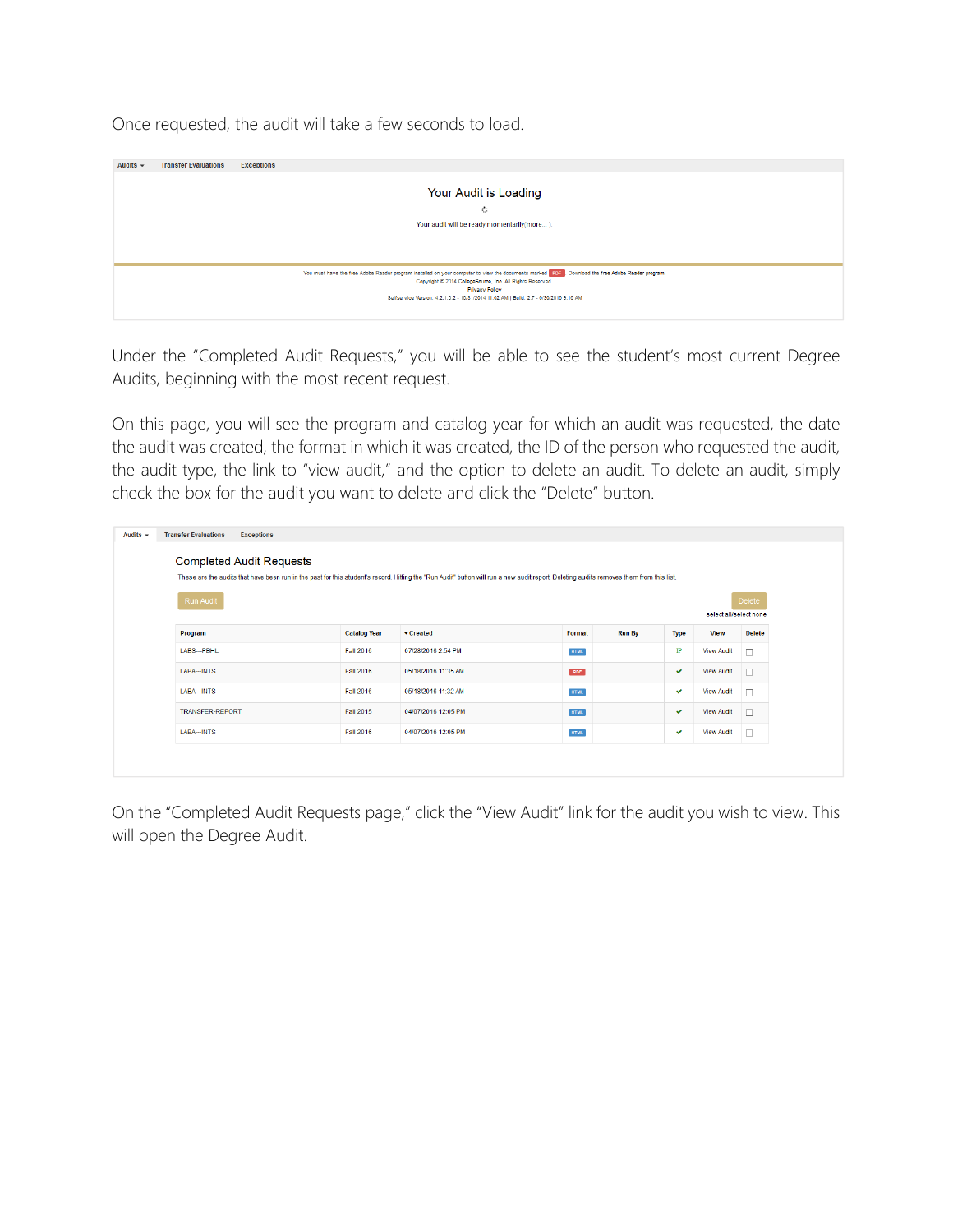| Once requested, the audit will take a few seconds to load. |  |
|------------------------------------------------------------|--|
|------------------------------------------------------------|--|

| Audits $\sim$ | <b>Transfer Evaluations</b> | <b>Exceptions</b>                                                                                                                                                                                                                                                                                                         |
|---------------|-----------------------------|---------------------------------------------------------------------------------------------------------------------------------------------------------------------------------------------------------------------------------------------------------------------------------------------------------------------------|
|               |                             |                                                                                                                                                                                                                                                                                                                           |
|               |                             | Your Audit is Loading                                                                                                                                                                                                                                                                                                     |
|               |                             | Ò.                                                                                                                                                                                                                                                                                                                        |
|               |                             | Your audit will be ready momentarily(more).                                                                                                                                                                                                                                                                               |
|               |                             |                                                                                                                                                                                                                                                                                                                           |
|               |                             |                                                                                                                                                                                                                                                                                                                           |
|               |                             | You must have the free Adobe Reader program installed on your computer to view the documents marked PDF . Download the free Adobe Reader program.<br>Copyright @ 2014 CollegeSource, Inc. All Rights Reserved.<br>Privacy Policy<br>Selfservice Version: 4.2.1.0.2 - 10/31/2014 11:02 AM   Build: 2.7 - 6/30/2016 9:16 AM |

Under the "Completed Audit Requests," you will be able to see the student's most current Degree Audits, beginning with the most recent request.

On this page, you will see the program and catalog year for which an audit was requested, the date the audit was created, the format in which it was created, the ID of the person who requested the audit, the audit type, the link to "view audit," and the option to delete an audit. To delete an audit, simply check the box for the audit you want to delete and click the "Delete" button.

| <b>Completed Audit Requests</b><br>These are the audits that have been run in the past for this student's record. Hitting the "Run Audit" button will run a new audit report. Deleting audits removes them from this list.<br><b>Delete</b><br>Run Audit<br>select all/select none |
|------------------------------------------------------------------------------------------------------------------------------------------------------------------------------------------------------------------------------------------------------------------------------------|
|                                                                                                                                                                                                                                                                                    |
|                                                                                                                                                                                                                                                                                    |
|                                                                                                                                                                                                                                                                                    |
|                                                                                                                                                                                                                                                                                    |
| <b>Run By</b><br><b>Delete</b><br>Program<br><b>Catalog Year</b><br>$\sqrt{\frac{3}{2}}$ Created<br>Format<br><b>View</b><br><b>Type</b>                                                                                                                                           |
| <b>Fall 2016</b><br>IP<br>LABS--- PBHL<br>07/28/2016 2:54 PM<br><b>View Audit</b><br>$\Box$<br><b>HTML</b>                                                                                                                                                                         |
| LABA--INTS<br><b>Fall 2016</b><br>05/18/2016 11:35 AM<br>PDF<br><b>View Audit</b><br>$\Box$<br>$\checkmark$                                                                                                                                                                        |
| LABA--INTS<br><b>Fall 2016</b><br>05/18/2016 11:32 AM<br><b>View Audit</b><br>$\Box$<br>HTML<br>✓                                                                                                                                                                                  |
| <b>TRANSFER-REPORT</b><br><b>Fall 2015</b><br>04/07/2016 12:05 PM<br><b>View Audit</b><br>$\Box$<br><b>HTML</b><br>$\checkmark$                                                                                                                                                    |
| $\Box$<br>LABA--INTS<br><b>Fall 2016</b><br>04/07/2016 12:05 PM<br><b>HTML</b><br><b>View Audit</b><br>$\checkmark$                                                                                                                                                                |

On the "Completed Audit Requests page," click the "View Audit" link for the audit you wish to view. This will open the Degree Audit.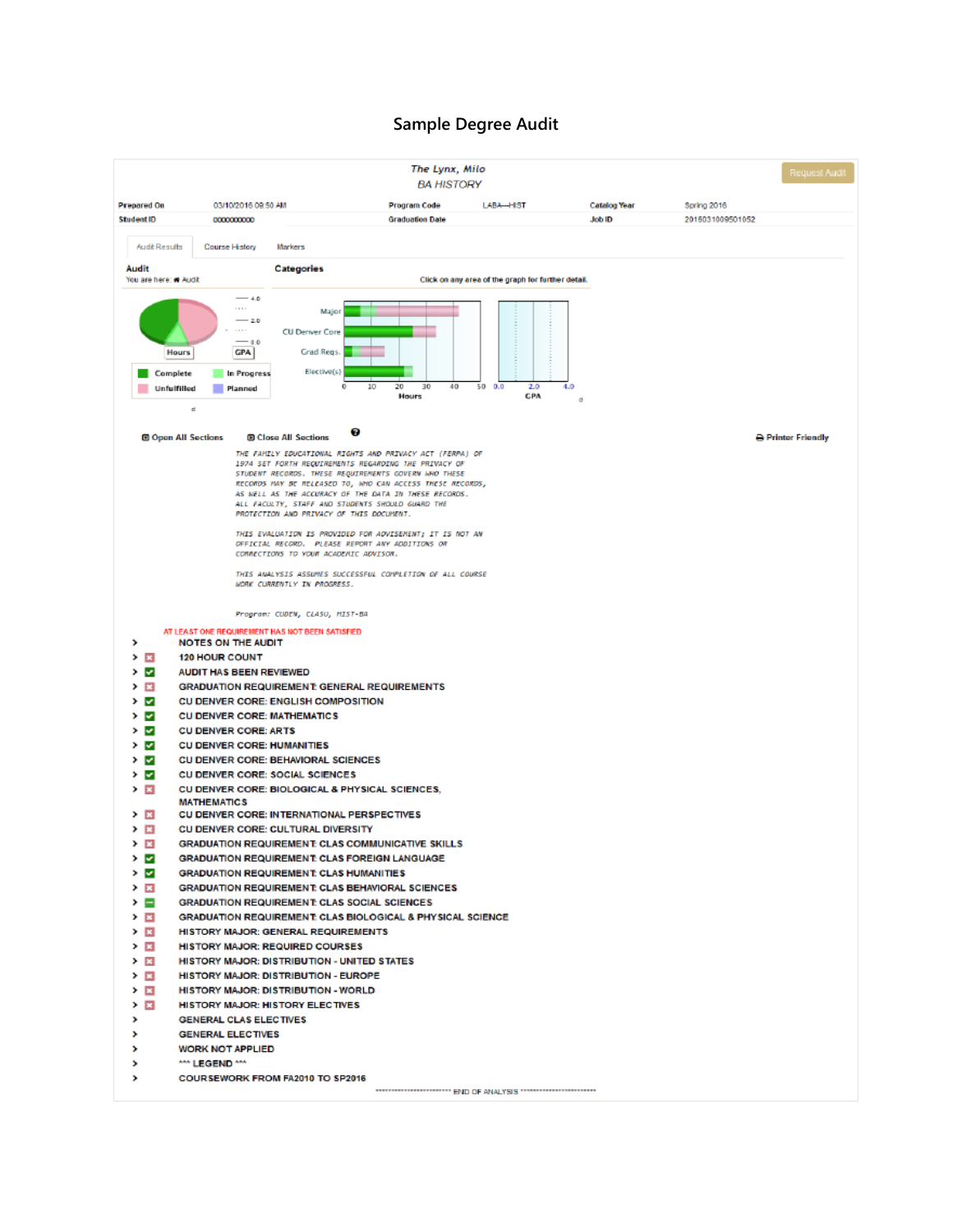#### **Sample Degree Audit**

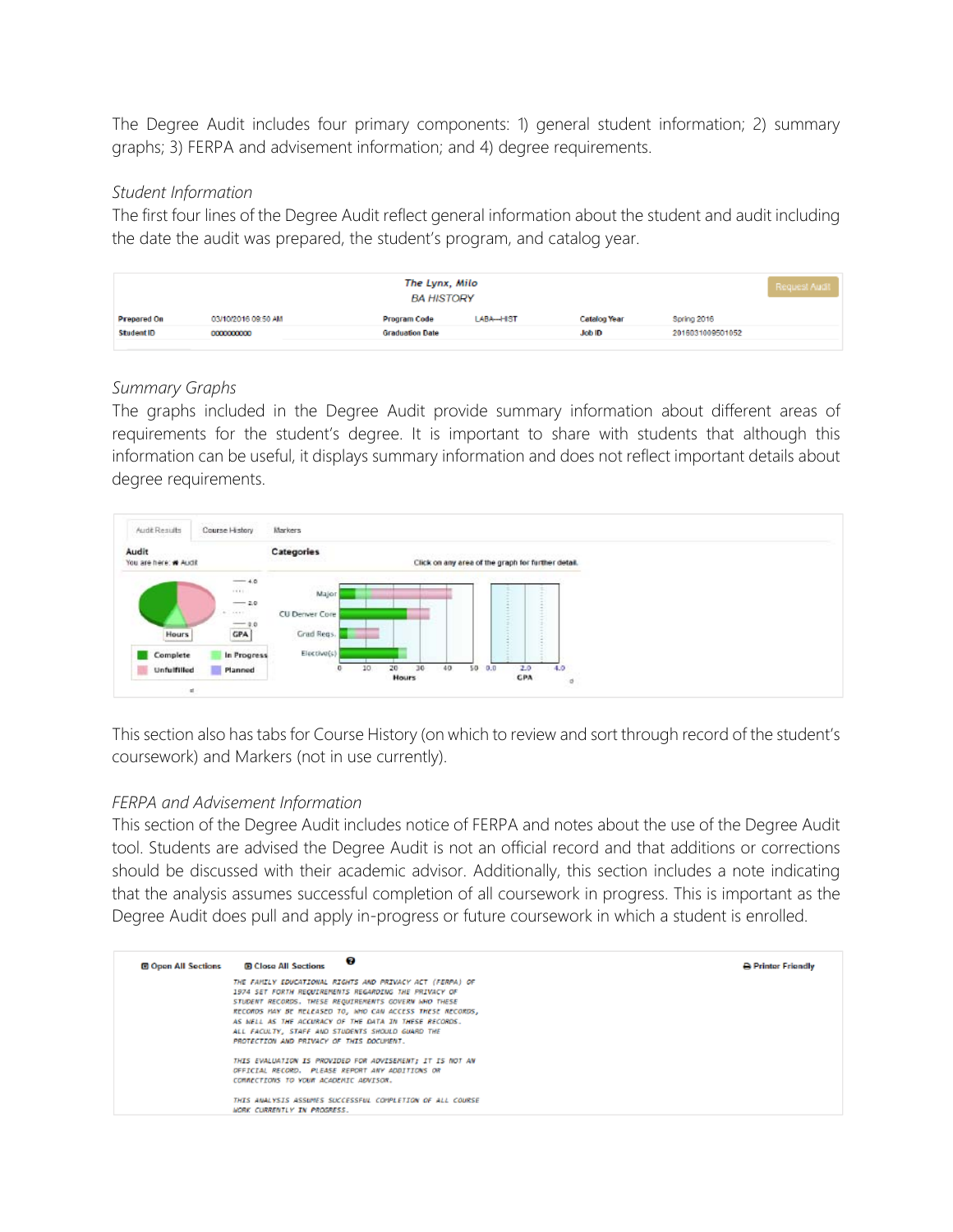The Degree Audit includes four primary components: 1) general student information; 2) summary graphs; 3) FERPA and advisement information; and 4) degree requirements.

#### *Student Information*

The first four lines of the Degree Audit reflect general information about the student and audit including the date the audit was prepared, the student's program, and catalog year.

| <b>Prepared On</b><br>03/10/2016 09:50 AM<br>Program Code<br>LABA--HIST | Catalog Year  | Spring 2016      |  |
|-------------------------------------------------------------------------|---------------|------------------|--|
| StudentID<br><b>Graduation Date</b><br>0000000000                       | <b>Job ID</b> | 2016031009501052 |  |

#### *Summary Graphs*

The graphs included in the Degree Audit provide summary information about different areas of requirements for the student's degree. It is important to share with students that although this information can be useful, it displays summary information and does not reflect important details about degree requirements.



This section also has tabs for Course History (on which to review and sort through record of the student's coursework) and Markers (not in use currently).

#### *FERPA and Advisement Information*

This section of the Degree Audit includes notice of FERPA and notes about the use of the Degree Audit tool. Students are advised the Degree Audit is not an official record and that additions or corrections should be discussed with their academic advisor. Additionally, this section includes a note indicating that the analysis assumes successful completion of all coursework in progress. This is important as the Degree Audit does pull and apply in-progress or future coursework in which a student is enrolled.

| <b>E Open All Sections</b> | Θ<br><b>B Close All Sections</b>                          | <b>B</b> Printer Friendly |
|----------------------------|-----------------------------------------------------------|---------------------------|
|                            | THE FAMILY EDUCATIONAL RIGHTS AND PRIVACY ACT (FERPA) OF  |                           |
|                            | 1974 SET FORTH REQUIREMENTS REGARDING THE PRIVACY OF      |                           |
|                            | STUDENT RECORDS. THESE REQUIREMENTS GOVERN WHO THESE      |                           |
|                            | RECORDS HAY BE RELEASED TO, WHO CAN ACCESS THESE RECORDS, |                           |
|                            | AS WELL AS THE ACCURACY OF THE DATA IN THESE RECORDS.     |                           |
|                            | ALL FACULTY, STAFF AND STUDENTS SHOULD GUARD THE          |                           |
|                            | PROTECTION AND PRIVACY OF THIS DOCUMENT.                  |                           |
|                            | THIS EVALUATION IS PROVIDED FOR ADVISEMENT; IT IS NOT AN  |                           |
|                            | OFFICIAL RECORD. PLEASE REPORT ANY ADDITIONS OR           |                           |
|                            | COMMECTIONS TO YOUR ACADEMIC ADVISOR.                     |                           |
|                            | THIS ANALYSIS ASSUMES SUCCESSFUL COMPLETION OF ALL COURSE |                           |
|                            | <b>WORK CURRENTLY IN PROGRESS.</b>                        |                           |
|                            |                                                           |                           |
|                            |                                                           |                           |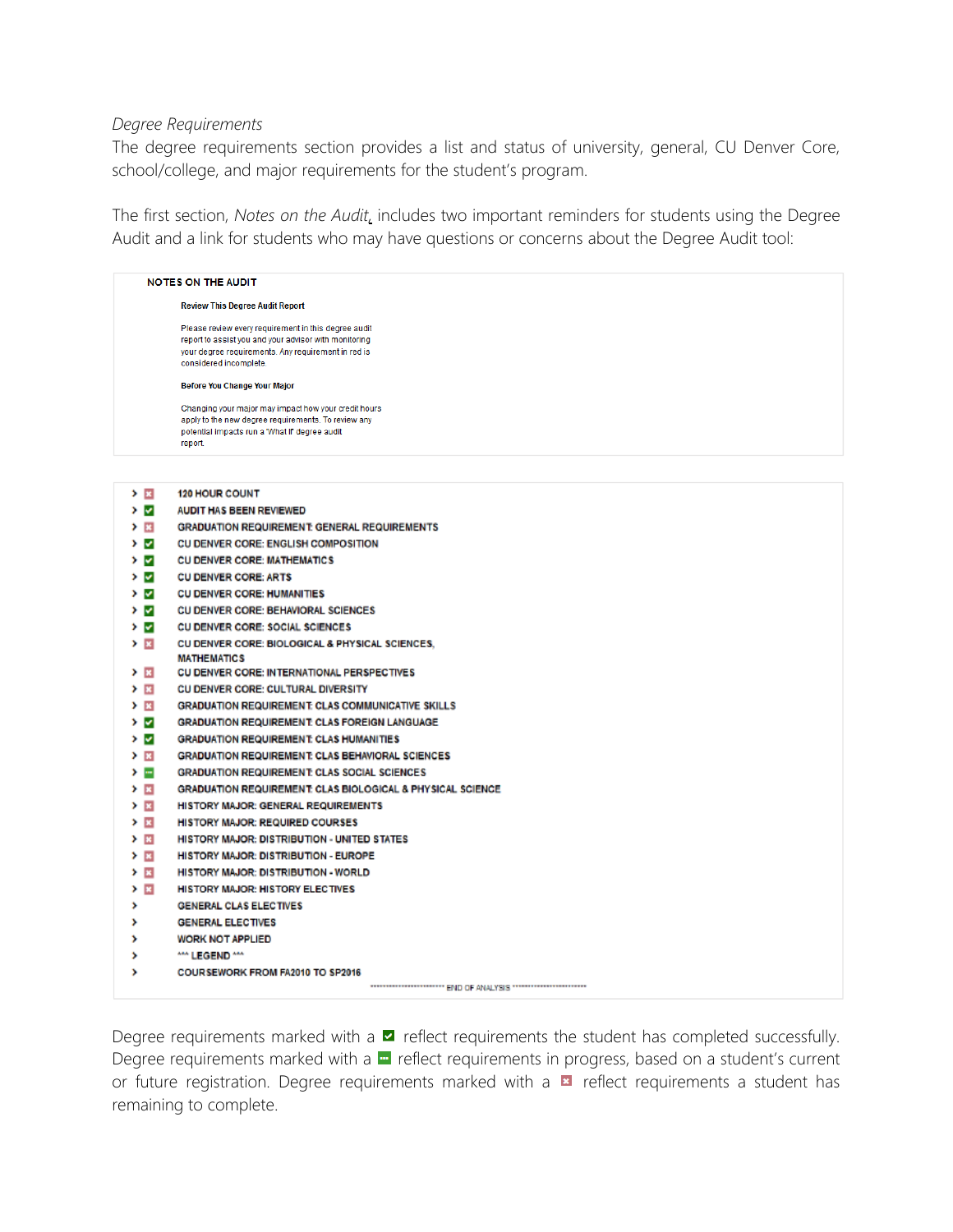#### *Degree Requirements*

The degree requirements section provides a list and status of university, general, CU Denver Core, school/college, and major requirements for the student's program.

The first section, *Notes on the Audit,* includes two important reminders for students using the Degree Audit and a link for students who may have questions or concerns about the Degree Audit tool:

|           | <b>NOTES ON THE AUDIT</b>                                                                                                                                                                      |
|-----------|------------------------------------------------------------------------------------------------------------------------------------------------------------------------------------------------|
|           | <b>Review This Degree Audit Report</b>                                                                                                                                                         |
|           | Please review every requirement in this degree audit<br>report to assist you and your advisor with monitoring<br>your degree requirements. Any requirement in red is<br>considered incomplete. |
|           | <b>Before You Change Your Major</b>                                                                                                                                                            |
|           | Changing your major may impact how your credit hours<br>apply to the new degree requirements. To review any<br>potential impacts run a 'What If' degree audit<br>report.                       |
|           |                                                                                                                                                                                                |
| > ⊠       | <b>120 HOUR COUNT</b>                                                                                                                                                                          |
| ≻ ⊽       | <b>AUDIT HAS BEEN REVIEWED</b>                                                                                                                                                                 |
| > ⊠       | <b>GRADUATION REQUIREMENT GENERAL REQUIREMENTS</b>                                                                                                                                             |
| У ⊠       | CU DENVER CORE: ENGLISH COMPOSITION                                                                                                                                                            |
| > ⊽       | <b>CU DENVER CORE: MATHEMATICS</b>                                                                                                                                                             |
| > ⊽       | <b>CU DENVER CORE: ARTS</b>                                                                                                                                                                    |
| ≻ ⊽       | <b>CU DENVER CORE: HUMANITIES</b>                                                                                                                                                              |
| ≻ ⊽       | <b>CU DENVER CORE: BEHAVIORAL SCIENCES</b>                                                                                                                                                     |
| ⊁ ⊽l      | CU DENVER CORE: SOCIAL SCIENCES                                                                                                                                                                |
| ≻ ⊠       | CU DENVER CORE: BIOLOGICAL & PHYSICAL SCIENCES,                                                                                                                                                |
|           | <b>MATHEMATICS</b>                                                                                                                                                                             |
| > ⊠       | CU DENVER CORE: INTERNATIONAL PERSPECTIVES                                                                                                                                                     |
| > п       | CU DENVER CORE: CULTURAL DIVERSITY                                                                                                                                                             |
| ΣП        | <b>GRADUATION REQUIREMENT: CLAS COMMUNICATIVE SKILLS</b>                                                                                                                                       |
| > ⊽       | <b>GRADUATION REQUIREMENT CLAS FOREIGN LANGUAGE</b>                                                                                                                                            |
| > ⊽       | <b>GRADUATION REQUIREMENT: CLAS HUMANITIES</b>                                                                                                                                                 |
| > El      | <b>GRADUATION REQUIREMENT CLAS BEHAVIORAL SCIENCES</b>                                                                                                                                         |
| > ≔       | <b>GRADUATION REQUIREMENT CLAS SOCIAL SCIENCES</b>                                                                                                                                             |
| ΣB<br>≻ ⊠ | GRADUATION REQUIREMENT CLAS BIOLOGICAL & PHYSICAL SCIENCE                                                                                                                                      |
| > ⊠       | <b>HISTORY MAJOR: GENERAL REQUIREMENTS</b><br><b>HISTORY MAJOR: REQUIRED COURSES</b>                                                                                                           |
| ⊁ ⊠       | <b>HISTORY MAJOR: DISTRIBUTION - UNITED STATES</b>                                                                                                                                             |
| ≻ ⊠       | <b>HISTORY MAJOR: DISTRIBUTION - EUROPE</b>                                                                                                                                                    |
| ⊁ ⊠       | <b>HISTORY MAJOR: DISTRIBUTION - WORLD</b>                                                                                                                                                     |
| > E       | <b>HISTORY MAJOR: HISTORY ELECTIVES</b>                                                                                                                                                        |
| ,         | GENERAL CLAS ELECTIVES                                                                                                                                                                         |
| ,         | <b>GENERAL ELECTIVES</b>                                                                                                                                                                       |
| ,         | <b>WORK NOT APPLIED</b>                                                                                                                                                                        |
| ,         | *** LEGEND ***                                                                                                                                                                                 |
| ,         | <b>COURSEWORK FROM FA2010 TO SP2016</b>                                                                                                                                                        |
|           | WELL-REPORTED HEATH OF ANALYSIS CONTROLLED FOR A                                                                                                                                               |

Degree requirements marked with a  $\blacksquare$  reflect requirements the student has completed successfully. Degree requirements marked with a **n** reflect requirements in progress, based on a student's current or future registration. Degree requirements marked with a  $\blacksquare$  reflect requirements a student has remaining to complete.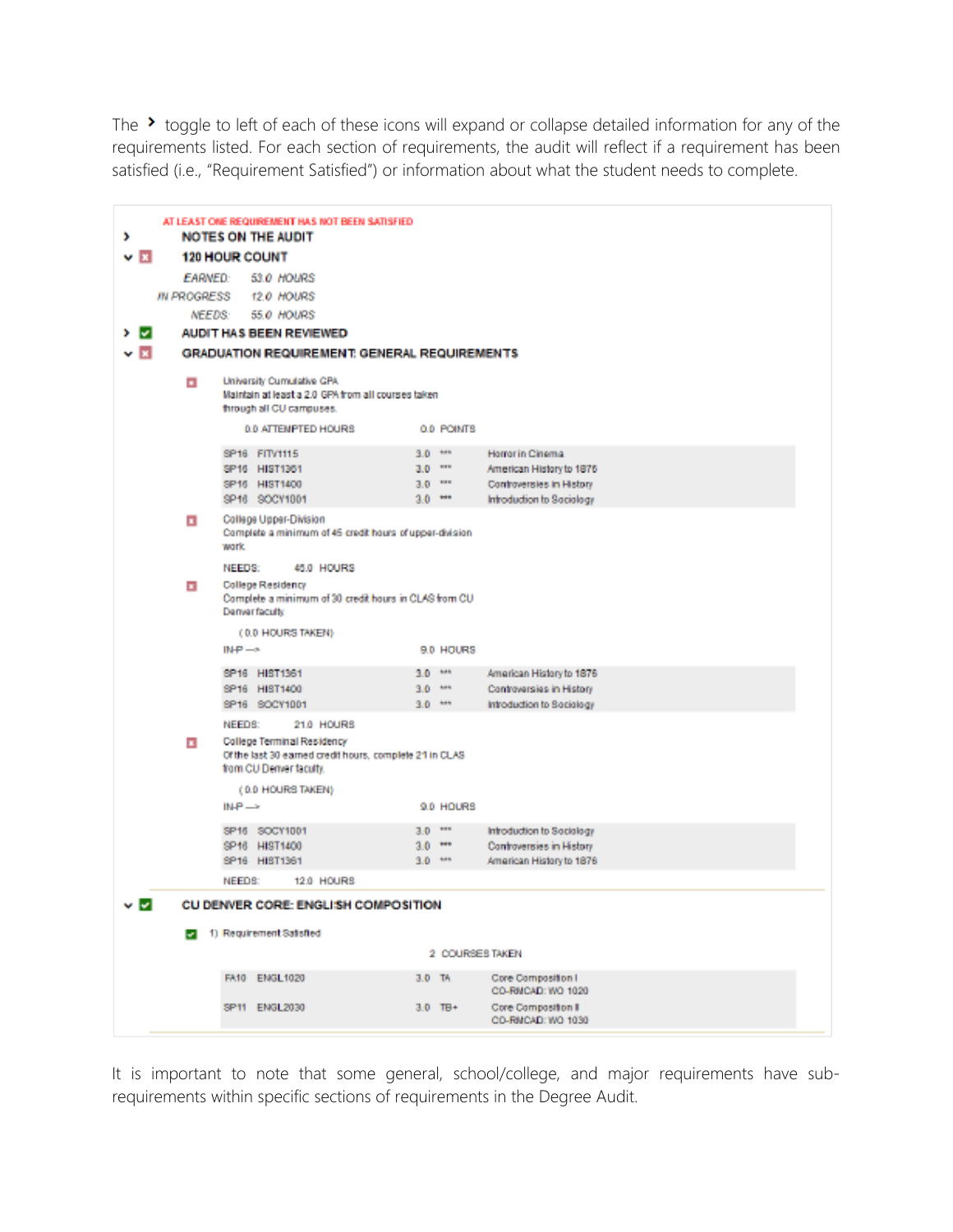The  $\rightarrow$  toggle to left of each of these icons will expand or collapse detailed information for any of the requirements listed. For each section of requirements, the audit will reflect if a requirement has been satisfied (i.e., "Requirement Satisfied") or information about what the student needs to complete.

| ,                         |                         | AT LEAST ONE REQUIREMENT HAS NOT BEEN SATISFIED<br><b>NOTES ON THE AUDIT</b>                                                              |                             |                                                       |
|---------------------------|-------------------------|-------------------------------------------------------------------------------------------------------------------------------------------|-----------------------------|-------------------------------------------------------|
| $\mathbf{v}$ $\mathbf{x}$ |                         | <b>120 HOUR COUNT</b>                                                                                                                     |                             |                                                       |
|                           | <b>EARNED:</b>          | 53.0 HOURS                                                                                                                                |                             |                                                       |
|                           | <b>IN PROGRESS</b>      | 12.0 HOURS                                                                                                                                |                             |                                                       |
|                           |                         | <b>NEEDS</b><br><b>55.0 HOURS</b>                                                                                                         |                             |                                                       |
| י ⊲                       |                         | <b>AUDIT HAS BEEN REVIEWED</b>                                                                                                            |                             |                                                       |
| v R                       |                         | <b>GRADUATION REQUIREMENT: GENERAL REQUIREMENTS</b>                                                                                       |                             |                                                       |
|                           |                         |                                                                                                                                           |                             |                                                       |
|                           | п                       | University Cumulative GPA<br>Maintain at least a 2.0 GPA from all courses taken<br>through all CU campuses.                               |                             |                                                       |
|                           |                         | 0.0 ATTEMPTED HOURS.                                                                                                                      | 0.0 POINTS                  |                                                       |
|                           |                         | SP16 FITV1115                                                                                                                             | $3.0 - 44$                  | Horror in Cinema                                      |
|                           |                         | SP16 HIST1361                                                                                                                             | $3.0 - 111$                 | American History to 1875                              |
|                           |                         | SP16 HIST1400<br>SP16 SOCY1001                                                                                                            | $3.0$ $\cdots$<br>$3.0$ $-$ | Controversies in History<br>Introduction to Sociology |
|                           | п                       | College Upper-Division<br>Complete a minimum of 45 credit hours of upper-division                                                         |                             |                                                       |
|                           |                         | work.                                                                                                                                     |                             |                                                       |
|                           | $\overline{\mathbf{r}}$ | NEEDS:<br>45.0 HOURS<br>College Residency<br>Complete a minimum of 30 credit hours in CLAS from CU<br>Denver faculty                      |                             |                                                       |
|                           |                         | (0.0 HOURS TAKEN)                                                                                                                         |                             |                                                       |
|                           |                         | $N+P \rightarrow$                                                                                                                         | 9.0 HOURS                   |                                                       |
|                           |                         | SP16 HIST1361                                                                                                                             | $3.0 - 44$                  | American History to 1876                              |
|                           |                         | SP16 HIST1400                                                                                                                             | $3.0 - 44$                  | Controversies in History                              |
|                           |                         | SP16 SOCY1001                                                                                                                             | $3.0$ $\rightarrow$         | Introduction to Sociology                             |
|                           | $\overline{\mathbf{r}}$ | NEEDS:<br>21.0 HOURS<br>College Terminal Residency<br>Of the last 30 earned credit hours, complete 21 in CLAS.<br>from CU Denver faculty. |                             |                                                       |
|                           |                         | (0.0 HOURS TAKEN)                                                                                                                         |                             |                                                       |
|                           |                         | $M.P \rightarrow$                                                                                                                         | 9.0 HOURS                   |                                                       |
|                           |                         | SP16 SOCY1001                                                                                                                             | $3.0 - 111$                 | Introduction to Sociology                             |
|                           |                         | SP16 HIST1400                                                                                                                             | $3.0 - 44$                  | Controversies in History                              |
|                           |                         | SP16 HIST1361                                                                                                                             | $3.0 - 44$                  | American History to 1876                              |
|                           |                         | NEEDS:<br>12.0 HOURS                                                                                                                      |                             |                                                       |
| v <u>v</u>                |                         | CU DENVER CORE: ENGLISH COMPOSITION                                                                                                       |                             |                                                       |
|                           |                         | 2 1) Requirement Satisfied                                                                                                                |                             |                                                       |
|                           |                         |                                                                                                                                           |                             | 2 COURSES TAKEN                                       |
|                           |                         | FA10 ENGL1020                                                                                                                             | 3.0 TA                      | Core Composition I<br>CO-RI/CAD: WO 1020              |
|                           |                         | SP11 ENGL2030                                                                                                                             | $3.0$ TB+                   | Core Composition II<br>CO-RIJCAD: WO 1030             |

It is important to note that some general, school/college, and major requirements have subrequirements within specific sections of requirements in the Degree Audit.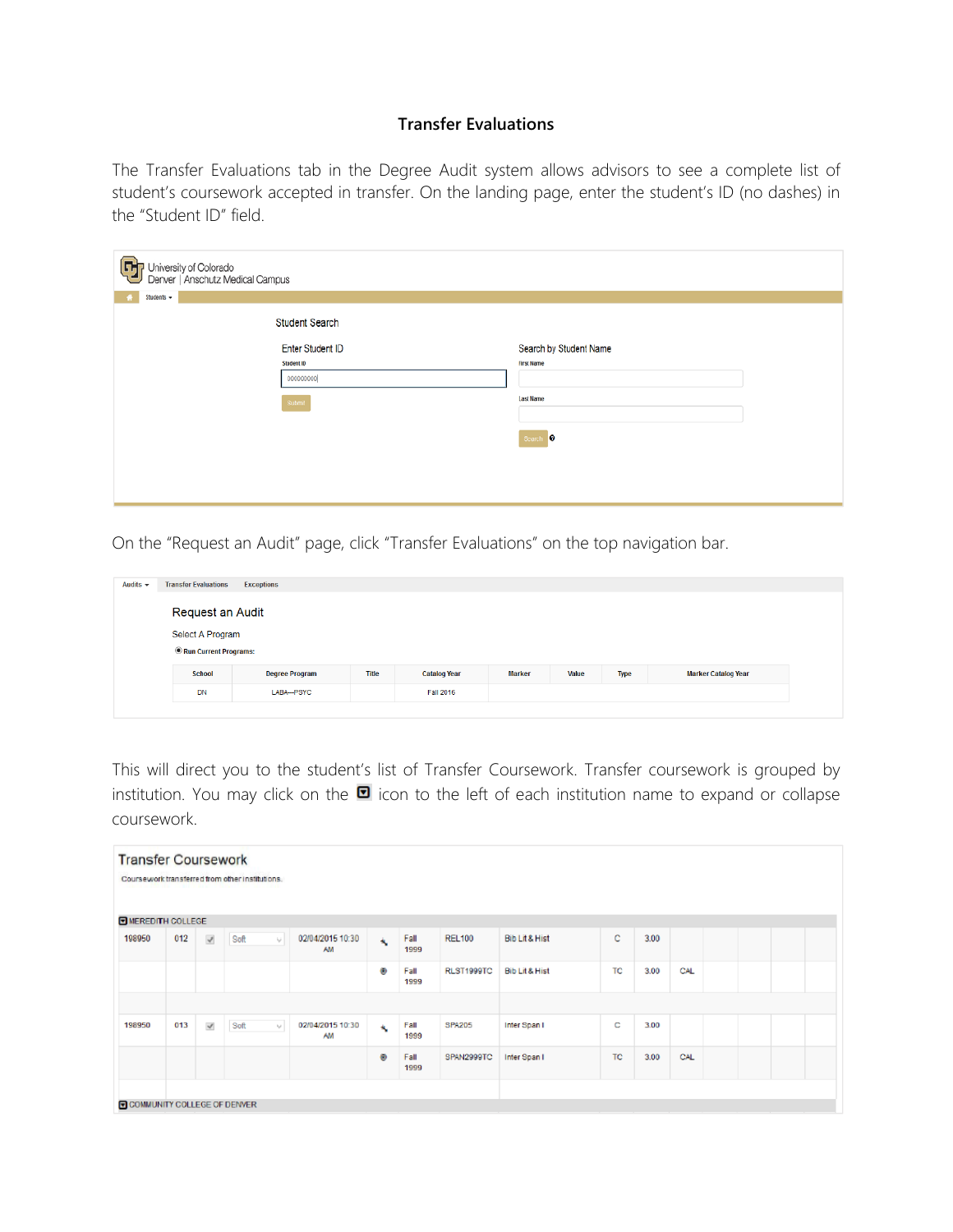#### **Transfer Evaluations**

The Transfer Evaluations tab in the Degree Audit system allows advisors to see a complete list of student's coursework accepted in transfer. On the landing page, enter the student's ID (no dashes) in the "Student ID" field.

| $\bm \Xi$<br>l University of Colorado<br>Denver   Anschutz Medical Campus<br>Students +<br>× |                        |
|----------------------------------------------------------------------------------------------|------------------------|
| <b>Student Search</b>                                                                        |                        |
| <b>Enter Student ID</b>                                                                      | Search by Student Name |
| Student ID                                                                                   | <b>First Name</b>      |
| 000000000                                                                                    |                        |
| Submit                                                                                       | <b>Last Name</b>       |
|                                                                                              | Search <sup>0</sup>    |
|                                                                                              |                        |
|                                                                                              |                        |
|                                                                                              |                        |
|                                                                                              |                        |

On the "Request an Audit" page, click "Transfer Evaluations" on the top navigation bar.

| Audits $\sim$                             | <b>Transfer Evaluations</b> | <b>Exceptions</b>     |              |                     |               |       |             |                            |  |  |  |  |  |  |  |
|-------------------------------------------|-----------------------------|-----------------------|--------------|---------------------|---------------|-------|-------------|----------------------------|--|--|--|--|--|--|--|
|                                           | Request an Audit            |                       |              |                     |               |       |             |                            |  |  |  |  |  |  |  |
| Select A Program<br>Run Current Programs: |                             |                       |              |                     |               |       |             |                            |  |  |  |  |  |  |  |
|                                           | <b>School</b>               | <b>Degree Program</b> | <b>Title</b> | <b>Catalog Year</b> | <b>Marker</b> | Value | <b>Type</b> | <b>Marker Catalog Year</b> |  |  |  |  |  |  |  |
|                                           | <b>DN</b>                   | LABA--- PSYC          |              | <b>Fall 2016</b>    |               |       |             |                            |  |  |  |  |  |  |  |

This will direct you to the student's list of Transfer Coursework. Transfer coursework is grouped by institution. You may click on the  $\blacksquare$  icon to the left of each institution name to expand or collapse coursework.

| <b>Transfer Coursework</b><br>Coursework transferred from other institutions. |     |                           |      |                      |                               |                         |              |               |                           |           |      |      |  |  |
|-------------------------------------------------------------------------------|-----|---------------------------|------|----------------------|-------------------------------|-------------------------|--------------|---------------|---------------------------|-----------|------|------|--|--|
| <b>E MEREDITH COLLEGE</b>                                                     |     |                           |      |                      |                               |                         |              |               |                           |           |      |      |  |  |
| 198950                                                                        | 012 | $\mathbf{v}^{\mathrm{p}}$ | Soft | ₩I                   | 02/04/2015 10:30<br><b>AM</b> | $\mathbf{A}_\mathbf{c}$ | Fall<br>1999 | <b>REL100</b> | <b>Bib Lit &amp; Hist</b> | c.        | 3.00 |      |  |  |
|                                                                               |     |                           |      |                      |                               | Ø                       | Fall<br>1999 | RLST1999TC    | Bib Lit & Hist            | TC        | 3.00 | CAL. |  |  |
|                                                                               |     |                           |      |                      |                               |                         |              |               |                           |           |      |      |  |  |
| 198950                                                                        | 013 | $\mathcal{A}$             | Soft | $\lambda_{\rm pl}$ . | 02/04/2015 10:30<br><b>AM</b> | 戈                       | Fall<br>1999 | <b>SPA205</b> | Inter Span I              | с         | 3.00 |      |  |  |
|                                                                               |     |                           |      |                      |                               | ۰                       | Fall<br>1999 | SPAN2999TC    | Inter Span I              | <b>TC</b> | 3.00 | CAL  |  |  |
|                                                                               |     |                           |      |                      |                               |                         |              |               |                           |           |      |      |  |  |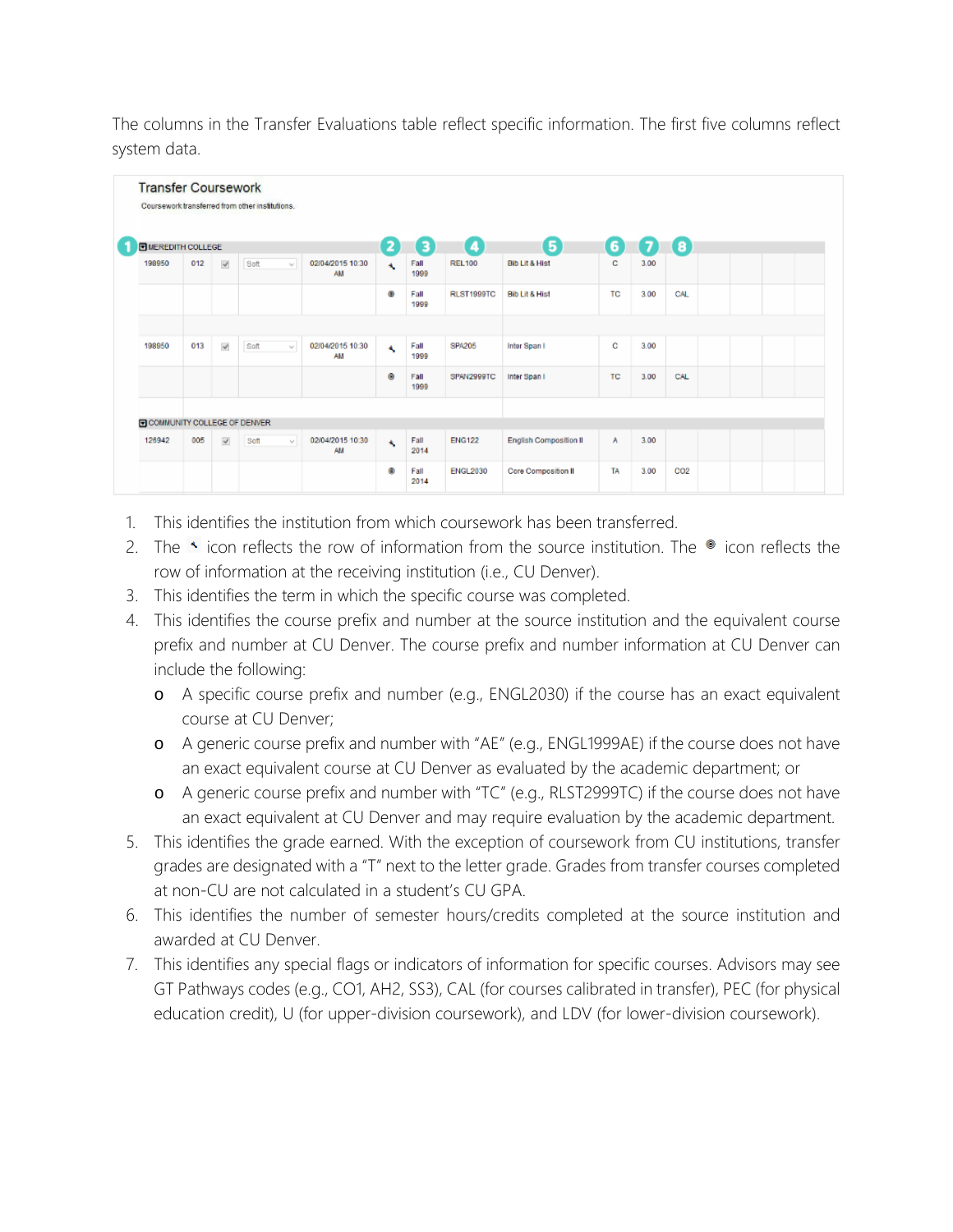The columns in the Transfer Evaluations table reflect specific information. The first five columns reflect system data.

| <b>DI MEREDITH COLLEGE</b>  |     |                       |      |        |                        | 2                        | 3            | 【4                | G                             | 6   | Ø    | $\lceil 3 \rceil$ |  |  |
|-----------------------------|-----|-----------------------|------|--------|------------------------|--------------------------|--------------|-------------------|-------------------------------|-----|------|-------------------|--|--|
| 198950                      | 012 | $\prec$               | Soft | $\sim$ | 02/04/2015 10:30<br>AM | $\overline{\phantom{a}}$ | Fall<br>1999 | <b>REL100</b>     | <b>Bib Lit &amp; Hist</b>     | с   | 3.00 |                   |  |  |
|                             |     |                       |      |        |                        | ۵                        | Fall<br>1999 | <b>RLST1999TC</b> | <b>Bib Lit &amp; Hist</b>     | TC  | 3.00 | CAL               |  |  |
|                             |     |                       |      |        |                        |                          |              |                   |                               |     |      |                   |  |  |
| 198950                      | 013 | $\mathbf{v}^{\prime}$ | Soft | W      | 02/04/2015 10:30<br>AM | A                        | Fall<br>1999 | <b>SPA205</b>     | Inter Span I                  | C   | 3.00 |                   |  |  |
|                             |     |                       |      |        |                        | ۰                        | Fall<br>1999 | SPAN2999TC        | Inter Span I                  | TC. | 3.00 | CAL               |  |  |
|                             |     |                       |      |        |                        |                          |              |                   |                               |     |      |                   |  |  |
| COMMUNITY COLLEGE OF DENVER |     |                       |      |        |                        |                          |              |                   |                               |     |      |                   |  |  |
| 126942                      | 005 | $\checkmark$          | Soft | AP 1   | 02/04/2015 10:30<br>AM | $\mathbf{A}_i$           | Fall<br>2014 | <b>ENG122</b>     | <b>English Composition II</b> | A   | 3.00 |                   |  |  |
|                             |     |                       |      |        |                        | ۰                        | Fall<br>2014 | <b>ENGL2030</b>   | Core Composition II           | TA  | 3.00 | CO <sub>2</sub>   |  |  |

- 1. This identifies the institution from which coursework has been transferred.
- 2. The  $\rightarrow$  icon reflects the row of information from the source institution. The  $\bullet$  icon reflects the row of information at the receiving institution (i.e., CU Denver).
- 3. This identifies the term in which the specific course was completed.
- 4. This identifies the course prefix and number at the source institution and the equivalent course prefix and number at CU Denver. The course prefix and number information at CU Denver can include the following:
	- o A specific course prefix and number (e.g., ENGL2030) if the course has an exact equivalent course at CU Denver;
	- o A generic course prefix and number with "AE" (e.g., ENGL1999AE) if the course does not have an exact equivalent course at CU Denver as evaluated by the academic department; or
	- o A generic course prefix and number with "TC" (e.g., RLST2999TC) if the course does not have an exact equivalent at CU Denver and may require evaluation by the academic department.
- 5. This identifies the grade earned. With the exception of coursework from CU institutions, transfer grades are designated with a "T" next to the letter grade. Grades from transfer courses completed at non-CU are not calculated in a student's CU GPA.
- 6. This identifies the number of semester hours/credits completed at the source institution and awarded at CU Denver.
- 7. This identifies any special flags or indicators of information for specific courses. Advisors may see GT Pathways codes (e.g., CO1, AH2, SS3), CAL (for courses calibrated in transfer), PEC (for physical education credit), U (for upper-division coursework), and LDV (for lower-division coursework).